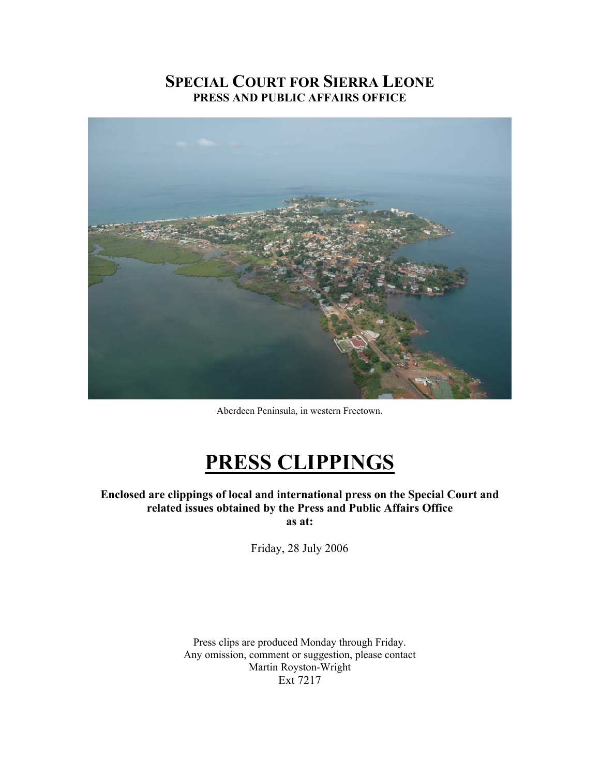## **SPECIAL COURT FOR SIERRA LEONE PRESS AND PUBLIC AFFAIRS OFFICE**



Aberdeen Peninsula, in western Freetown.

# **PRESS CLIPPINGS**

**Enclosed are clippings of local and international press on the Special Court and related issues obtained by the Press and Public Affairs Office as at:** 

Friday, 28 July 2006

Press clips are produced Monday through Friday. Any omission, comment or suggestion, please contact Martin Royston-Wright Ext 7217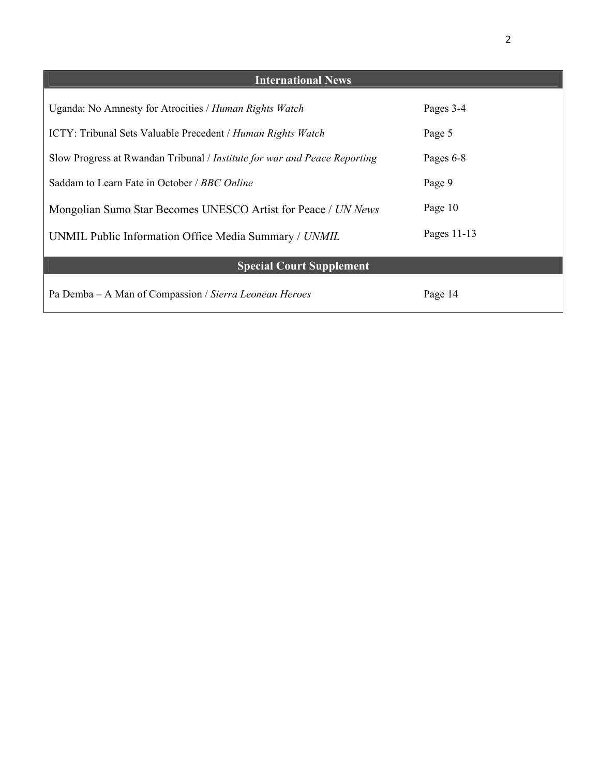| <b>International News</b>                                                 |             |
|---------------------------------------------------------------------------|-------------|
| Uganda: No Amnesty for Atrocities / Human Rights Watch                    | Pages 3-4   |
| <b>ICTY: Tribunal Sets Valuable Precedent / Human Rights Watch</b>        | Page 5      |
| Slow Progress at Rwandan Tribunal / Institute for war and Peace Reporting | Pages 6-8   |
| Saddam to Learn Fate in October / BBC Online                              | Page 9      |
| Mongolian Sumo Star Becomes UNESCO Artist for Peace / UN News             | Page 10     |
| UNMIL Public Information Office Media Summary / UNMIL                     | Pages 11-13 |
| <b>Special Court Supplement</b>                                           |             |
| Pa Demba – A Man of Compassion / Sierra Leonean Heroes                    | Page 14     |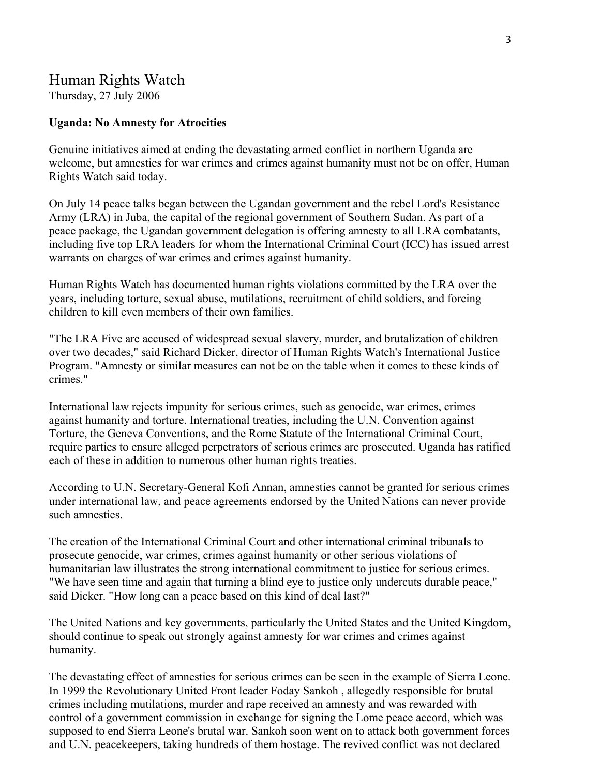## Human Rights Watch

Thursday, 27 July 2006

## **Uganda: No Amnesty for Atrocities**

Genuine initiatives aimed at ending the devastating armed conflict in northern Uganda are welcome, but amnesties for war crimes and crimes against humanity must not be on offer, Human Rights Watch said today.

On July 14 peace talks began between the Ugandan government and the rebel Lord's Resistance Army (LRA) in Juba, the capital of the regional government of Southern Sudan. As part of a peace package, the Ugandan government delegation is offering amnesty to all LRA combatants, including five top LRA leaders for whom the International Criminal Court (ICC) has issued arrest warrants on charges of war crimes and crimes against humanity.

Human Rights Watch has documented human rights violations committed by the LRA over the years, including torture, sexual abuse, mutilations, recruitment of child soldiers, and forcing children to kill even members of their own families.

"The LRA Five are accused of widespread sexual slavery, murder, and brutalization of children over two decades," said Richard Dicker, director of Human Rights Watch's International Justice Program. "Amnesty or similar measures can not be on the table when it comes to these kinds of crimes."

International law rejects impunity for serious crimes, such as genocide, war crimes, crimes against humanity and torture. International treaties, including the U.N. Convention against Torture, the Geneva Conventions, and the Rome Statute of the International Criminal Court, require parties to ensure alleged perpetrators of serious crimes are prosecuted. Uganda has ratified each of these in addition to numerous other human rights treaties.

According to U.N. Secretary-General Kofi Annan, amnesties cannot be granted for serious crimes under international law, and peace agreements endorsed by the United Nations can never provide such amnesties.

The creation of the International Criminal Court and other international criminal tribunals to prosecute genocide, war crimes, crimes against humanity or other serious violations of humanitarian law illustrates the strong international commitment to justice for serious crimes. "We have seen time and again that turning a blind eye to justice only undercuts durable peace," said Dicker. "How long can a peace based on this kind of deal last?"

The United Nations and key governments, particularly the United States and the United Kingdom, should continue to speak out strongly against amnesty for war crimes and crimes against humanity.

The devastating effect of amnesties for serious crimes can be seen in the example of Sierra Leone. In 1999 the Revolutionary United Front leader Foday Sankoh , allegedly responsible for brutal crimes including mutilations, murder and rape received an amnesty and was rewarded with control of a government commission in exchange for signing the Lome peace accord, which was supposed to end Sierra Leone's brutal war. Sankoh soon went on to attack both government forces and U.N. peacekeepers, taking hundreds of them hostage. The revived conflict was not declared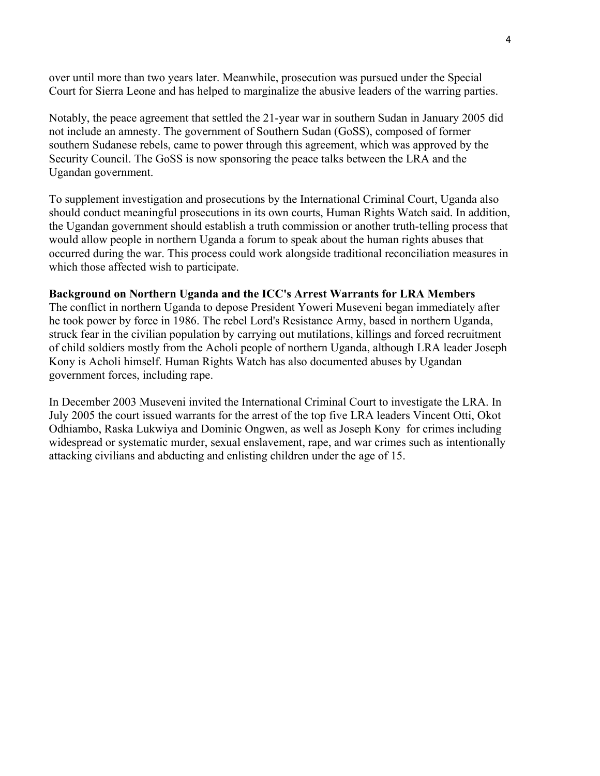over until more than two years later. Meanwhile, prosecution was pursued under the Special Court for Sierra Leone and has helped to marginalize the abusive leaders of the warring parties.

Notably, the peace agreement that settled the 21-year war in southern Sudan in January 2005 did not include an amnesty. The government of Southern Sudan (GoSS), composed of former southern Sudanese rebels, came to power through this agreement, which was approved by the Security Council. The GoSS is now sponsoring the peace talks between the LRA and the Ugandan government.

To supplement investigation and prosecutions by the International Criminal Court, Uganda also should conduct meaningful prosecutions in its own courts, Human Rights Watch said. In addition, the Ugandan government should establish a truth commission or another truth-telling process that would allow people in northern Uganda a forum to speak about the human rights abuses that occurred during the war. This process could work alongside traditional reconciliation measures in which those affected wish to participate.

#### **Background on Northern Uganda and the ICC's Arrest Warrants for LRA Members**

The conflict in northern Uganda to depose President Yoweri Museveni began immediately after he took power by force in 1986. The rebel Lord's Resistance Army, based in northern Uganda, struck fear in the civilian population by carrying out mutilations, killings and forced recruitment of child soldiers mostly from the Acholi people of northern Uganda, although LRA leader Joseph Kony is Acholi himself. Human Rights Watch has also documented abuses by Ugandan government forces, including rape.

In December 2003 Museveni invited the International Criminal Court to investigate the LRA. In July 2005 the court issued warrants for the arrest of the top five LRA leaders Vincent Otti, Okot Odhiambo, Raska Lukwiya and Dominic Ongwen, as well as Joseph Kony for crimes including widespread or systematic murder, sexual enslavement, rape, and war crimes such as intentionally attacking civilians and abducting and enlisting children under the age of 15.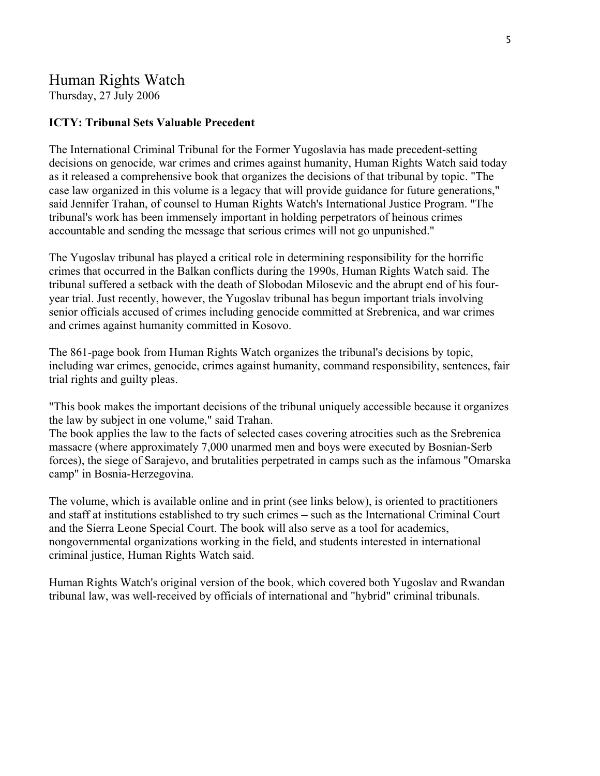## Human Rights Watch

Thursday, 27 July 2006

## **ICTY: Tribunal Sets Valuable Precedent**

The International Criminal Tribunal for the Former Yugoslavia has made precedent-setting decisions on genocide, war crimes and crimes against humanity, Human Rights Watch said today as it released a comprehensive book that organizes the decisions of that tribunal by topic. "The case law organized in this volume is a legacy that will provide guidance for future generations," said Jennifer Trahan, of counsel to Human Rights Watch's International Justice Program. "The tribunal's work has been immensely important in holding perpetrators of heinous crimes accountable and sending the message that serious crimes will not go unpunished."

The Yugoslav tribunal has played a critical role in determining responsibility for the horrific crimes that occurred in the Balkan conflicts during the 1990s, Human Rights Watch said. The tribunal suffered a setback with the death of Slobodan Milosevic and the abrupt end of his fouryear trial. Just recently, however, the Yugoslav tribunal has begun important trials involving senior officials accused of crimes including genocide committed at Srebrenica, and war crimes and crimes against humanity committed in Kosovo.

The 861-page book from Human Rights Watch organizes the tribunal's decisions by topic, including war crimes, genocide, crimes against humanity, command responsibility, sentences, fair trial rights and guilty pleas.

"This book makes the important decisions of the tribunal uniquely accessible because it organizes the law by subject in one volume," said Trahan.

The book applies the law to the facts of selected cases covering atrocities such as the Srebrenica massacre (where approximately 7,000 unarmed men and boys were executed by Bosnian-Serb forces), the siege of Sarajevo, and brutalities perpetrated in camps such as the infamous "Omarska camp" in Bosnia-Herzegovina.

The volume, which is available online and in print (see links below), is oriented to practitioners and staff at institutions established to try such crimes – such as the International Criminal Court and the Sierra Leone Special Court. The book will also serve as a tool for academics, nongovernmental organizations working in the field, and students interested in international criminal justice, Human Rights Watch said.

Human Rights Watch's [original](http://hrw.org/reports/2004/ij/) version of the book, which covered both Yugoslav and Rwandan tribunal law, was well-received by officials of international and "hybrid" criminal tribunals.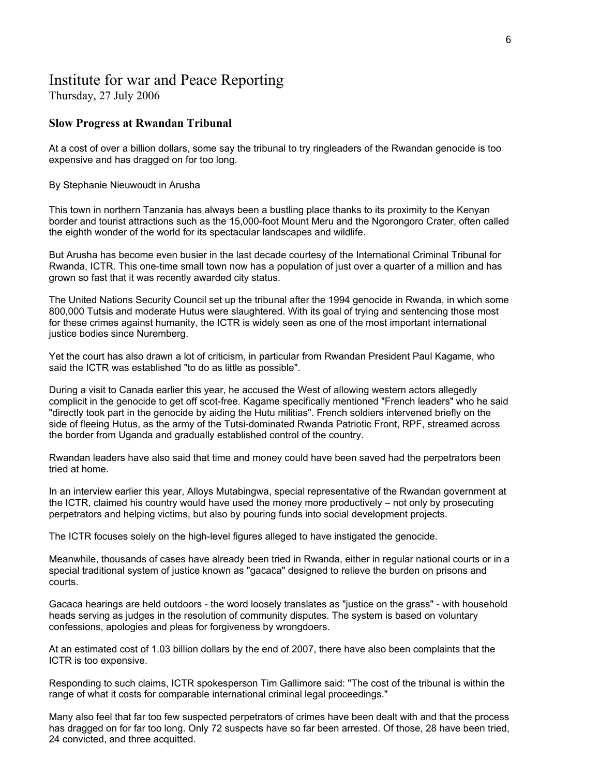## Institute for war and Peace Reporting

Thursday, 27 July 2006

## **Slow Progress at Rwandan Tribunal**

At a cost of over a billion dollars, some say the tribunal to try ringleaders of the Rwandan genocide is too expensive and has dragged on for too long.

By Stephanie Nieuwoudt in Arusha

This town in northern Tanzania has always been a bustling place thanks to its proximity to the Kenyan border and tourist attractions such as the 15,000-foot Mount Meru and the Ngorongoro Crater, often called the eighth wonder of the world for its spectacular landscapes and wildlife.

But Arusha has become even busier in the last decade courtesy of the International Criminal Tribunal for Rwanda, ICTR. This one-time small town now has a population of just over a quarter of a million and has grown so fast that it was recently awarded city status.

The United Nations Security Council set up the tribunal after the 1994 genocide in Rwanda, in which some 800,000 Tutsis and moderate Hutus were slaughtered. With its goal of trying and sentencing those most for these crimes against humanity, the ICTR is widely seen as one of the most important international justice bodies since Nuremberg.

Yet the court has also drawn a lot of criticism, in particular from Rwandan President Paul Kagame, who said the ICTR was established "to do as little as possible".

During a visit to Canada earlier this year, he accused the West of allowing western actors allegedly complicit in the genocide to get off scot-free. Kagame specifically mentioned "French leaders" who he said "directly took part in the genocide by aiding the Hutu militias". French soldiers intervened briefly on the side of fleeing Hutus, as the army of the Tutsi-dominated Rwanda Patriotic Front, RPF, streamed across the border from Uganda and gradually established control of the country.

Rwandan leaders have also said that time and money could have been saved had the perpetrators been tried at home.

In an interview earlier this year, Alloys Mutabingwa, special representative of the Rwandan government at the ICTR, claimed his country would have used the money more productively – not only by prosecuting perpetrators and helping victims, but also by pouring funds into social development projects.

The ICTR focuses solely on the high-level figures alleged to have instigated the genocide.

Meanwhile, thousands of cases have already been tried in Rwanda, either in regular national courts or in a special traditional system of justice known as "gacaca" designed to relieve the burden on prisons and courts.

Gacaca hearings are held outdoors - the word loosely translates as "justice on the grass" - with household heads serving as judges in the resolution of community disputes. The system is based on voluntary confessions, apologies and pleas for forgiveness by wrongdoers.

At an estimated cost of 1.03 billion dollars by the end of 2007, there have also been complaints that the ICTR is too expensive.

Responding to such claims, ICTR spokesperson Tim Gallimore said: "The cost of the tribunal is within the range of what it costs for comparable international criminal legal proceedings."

Many also feel that far too few suspected perpetrators of crimes have been dealt with and that the process has dragged on for far too long. Only 72 suspects have so far been arrested. Of those, 28 have been tried, 24 convicted, and three acquitted.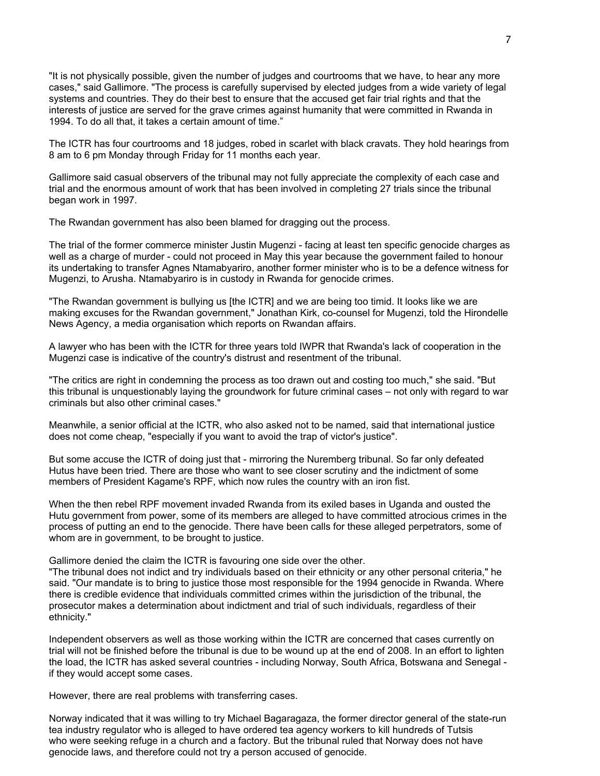"It is not physically possible, given the number of judges and courtrooms that we have, to hear any more cases," said Gallimore. "The process is carefully supervised by elected judges from a wide variety of legal systems and countries. They do their best to ensure that the accused get fair trial rights and that the interests of justice are served for the grave crimes against humanity that were committed in Rwanda in 1994. To do all that, it takes a certain amount of time."

The ICTR has four courtrooms and 18 judges, robed in scarlet with black cravats. They hold hearings from 8 am to 6 pm Monday through Friday for 11 months each year.

Gallimore said casual observers of the tribunal may not fully appreciate the complexity of each case and trial and the enormous amount of work that has been involved in completing 27 trials since the tribunal began work in 1997.

The Rwandan government has also been blamed for dragging out the process.

The trial of the former commerce minister Justin Mugenzi - facing at least ten specific genocide charges as well as a charge of murder - could not proceed in May this year because the government failed to honour its undertaking to transfer Agnes Ntamabyariro, another former minister who is to be a defence witness for Mugenzi, to Arusha. Ntamabyariro is in custody in Rwanda for genocide crimes.

"The Rwandan government is bullying us [the ICTR] and we are being too timid. It looks like we are making excuses for the Rwandan government," Jonathan Kirk, co-counsel for Mugenzi, told the Hirondelle News Agency, a media organisation which reports on Rwandan affairs.

A lawyer who has been with the ICTR for three years told IWPR that Rwanda's lack of cooperation in the Mugenzi case is indicative of the country's distrust and resentment of the tribunal.

"The critics are right in condemning the process as too drawn out and costing too much," she said. "But this tribunal is unquestionably laying the groundwork for future criminal cases – not only with regard to war criminals but also other criminal cases."

Meanwhile, a senior official at the ICTR, who also asked not to be named, said that international justice does not come cheap, "especially if you want to avoid the trap of victor's justice".

But some accuse the ICTR of doing just that - mirroring the Nuremberg tribunal. So far only defeated Hutus have been tried. There are those who want to see closer scrutiny and the indictment of some members of President Kagame's RPF, which now rules the country with an iron fist.

When the then rebel RPF movement invaded Rwanda from its exiled bases in Uganda and ousted the Hutu government from power, some of its members are alleged to have committed atrocious crimes in the process of putting an end to the genocide. There have been calls for these alleged perpetrators, some of whom are in government, to be brought to justice.

Gallimore denied the claim the ICTR is favouring one side over the other.

"The tribunal does not indict and try individuals based on their ethnicity or any other personal criteria," he said. "Our mandate is to bring to justice those most responsible for the 1994 genocide in Rwanda. Where there is credible evidence that individuals committed crimes within the jurisdiction of the tribunal, the prosecutor makes a determination about indictment and trial of such individuals, regardless of their ethnicity."

Independent observers as well as those working within the ICTR are concerned that cases currently on trial will not be finished before the tribunal is due to be wound up at the end of 2008. In an effort to lighten the load, the ICTR has asked several countries - including Norway, South Africa, Botswana and Senegal if they would accept some cases.

However, there are real problems with transferring cases.

Norway indicated that it was willing to try Michael Bagaragaza, the former director general of the state-run tea industry regulator who is alleged to have ordered tea agency workers to kill hundreds of Tutsis who were seeking refuge in a church and a factory. But the tribunal ruled that Norway does not have genocide laws, and therefore could not try a person accused of genocide.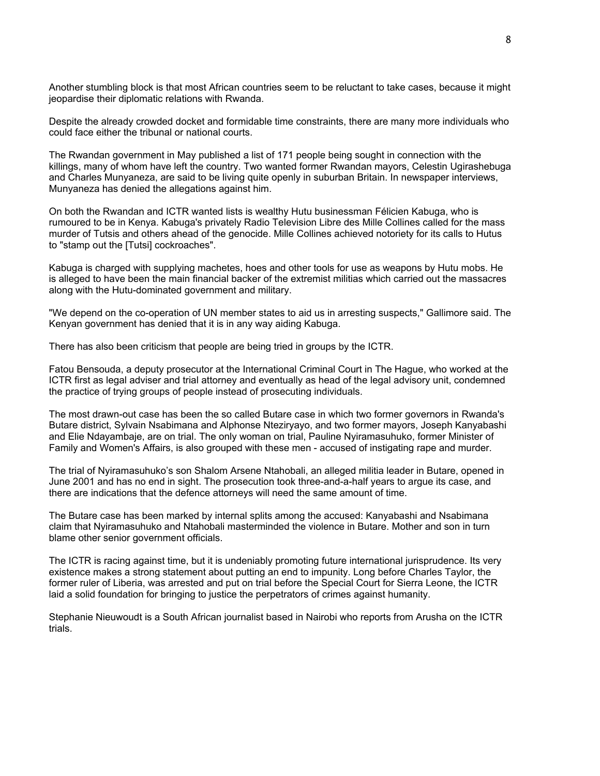Another stumbling block is that most African countries seem to be reluctant to take cases, because it might jeopardise their diplomatic relations with Rwanda.

Despite the already crowded docket and formidable time constraints, there are many more individuals who could face either the tribunal or national courts.

The Rwandan government in May published a list of 171 people being sought in connection with the killings, many of whom have left the country. Two wanted former Rwandan mayors, Celestin Ugirashebuga and Charles Munyaneza, are said to be living quite openly in suburban Britain. In newspaper interviews, Munyaneza has denied the allegations against him.

On both the Rwandan and ICTR wanted lists is wealthy Hutu businessman Félicien Kabuga, who is rumoured to be in Kenya. Kabuga's privately Radio Television Libre des Mille Collines called for the mass murder of Tutsis and others ahead of the genocide. Mille Collines achieved notoriety for its calls to Hutus to "stamp out the [Tutsi] cockroaches".

Kabuga is charged with supplying machetes, hoes and other tools for use as weapons by Hutu mobs. He is alleged to have been the main financial backer of the extremist militias which carried out the massacres along with the Hutu-dominated government and military.

"We depend on the co-operation of UN member states to aid us in arresting suspects," Gallimore said. The Kenyan government has denied that it is in any way aiding Kabuga.

There has also been criticism that people are being tried in groups by the ICTR.

Fatou Bensouda, a deputy prosecutor at the International Criminal Court in The Hague, who worked at the ICTR first as legal adviser and trial attorney and eventually as head of the legal advisory unit, condemned the practice of trying groups of people instead of prosecuting individuals.

The most drawn-out case has been the so called Butare case in which two former governors in Rwanda's Butare district, Sylvain Nsabimana and Alphonse Nteziryayo, and two former mayors, Joseph Kanyabashi and Elie Ndayambaje, are on trial. The only woman on trial, Pauline Nyiramasuhuko, former Minister of Family and Women's Affairs, is also grouped with these men - accused of instigating rape and murder.

The trial of Nyiramasuhuko's son Shalom Arsene Ntahobali, an alleged militia leader in Butare, opened in June 2001 and has no end in sight. The prosecution took three-and-a-half years to argue its case, and there are indications that the defence attorneys will need the same amount of time.

The Butare case has been marked by internal splits among the accused: Kanyabashi and Nsabimana claim that Nyiramasuhuko and Ntahobali masterminded the violence in Butare. Mother and son in turn blame other senior government officials.

The ICTR is racing against time, but it is undeniably promoting future international jurisprudence. Its very existence makes a strong statement about putting an end to impunity. Long before Charles Taylor, the former ruler of Liberia, was arrested and put on trial before the Special Court for Sierra Leone, the ICTR laid a solid foundation for bringing to justice the perpetrators of crimes against humanity.

Stephanie Nieuwoudt is a South African journalist based in Nairobi who reports from Arusha on the ICTR trials.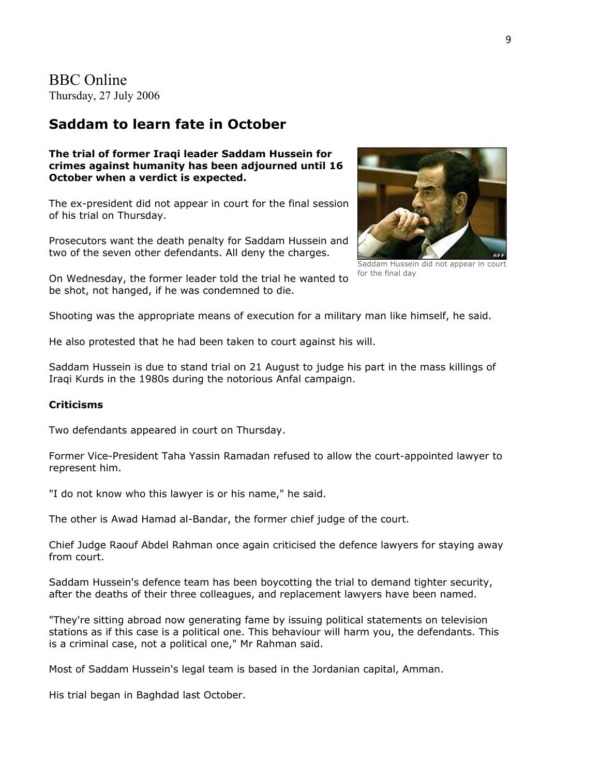BBC Online Thursday, 27 July 2006

## **Saddam to learn fate in October**

#### **The trial of former Iraqi leader Saddam Hussein for crimes against humanity has been adjourned until 16 October when a verdict is expected.**

The ex-president did not appear in court for the final session of his trial on Thursday.

Prosecutors want the death penalty for Saddam Hussein and two of the seven other defendants. All deny the charges.

On Wednesday, the former leader told the trial he wanted to be shot, not hanged, if he was condemned to die.



Saddam Hussein did not appear in court for the final day

Shooting was the appropriate means of execution for a military man like himself, he said.

He also protested that he had been taken to court against his will.

Saddam Hussein is due to stand trial on 21 August to judge his part in the mass killings of Iraqi Kurds in the 1980s during the notorious Anfal campaign.

#### **Criticisms**

Two defendants appeared in court on Thursday.

Former Vice-President Taha Yassin Ramadan refused to allow the court-appointed lawyer to represent him.

"I do not know who this lawyer is or his name," he said.

The other is Awad Hamad al-Bandar, the former chief judge of the court.

Chief Judge Raouf Abdel Rahman once again criticised the defence lawyers for staying away from court.

Saddam Hussein's defence team has been boycotting the trial to demand tighter security, after the deaths of their three colleagues, and replacement lawyers have been named.

"They're sitting abroad now generating fame by issuing political statements on television stations as if this case is a political one. This behaviour will harm you, the defendants. This is a criminal case, not a political one," Mr Rahman said.

Most of Saddam Hussein's legal team is based in the Jordanian capital, Amman.

His trial began in Baghdad last October.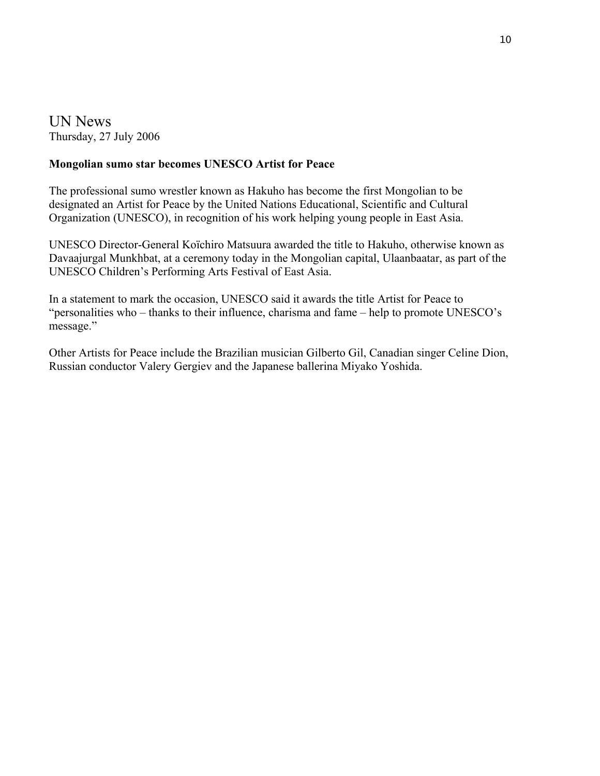UN News Thursday, 27 July 2006

## **Mongolian sumo star becomes UNESCO Artist for Peace**

The professional sumo wrestler known as Hakuho has become the first Mongolian to be designated an Artist for Peace by the United Nations Educational, Scientific and Cultural Organization (UNESCO), in recognition of his work helping young people in East Asia.

UNESCO Director-General Koïchiro Matsuura awarded the title to Hakuho, otherwise known as Davaajurgal Munkhbat, at a ceremony today in the Mongolian capital, Ulaanbaatar, as part of the UNESCO Children's Performing Arts Festival of East Asia.

In a statement to mark the occasion, UNESCO said it awards the title Artist for Peace to "personalities who – thanks to their influence, charisma and fame – help to promote UNESCO's message."

Other Artists for Peace include the Brazilian musician Gilberto Gil, Canadian singer Celine Dion, Russian conductor Valery Gergiev and the Japanese ballerina Miyako Yoshida.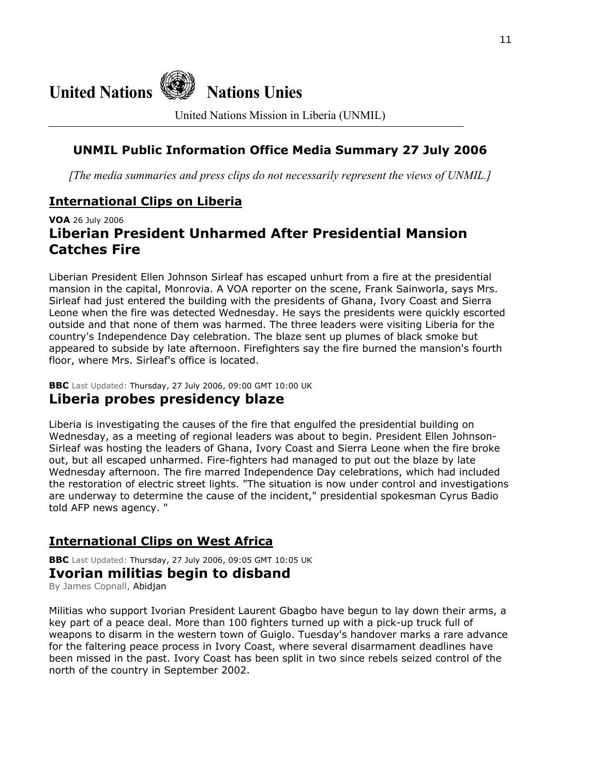

United Nations Mission in Liberia (UNMIL)

## **UNMIL Public Information Office Media Summary 27 July 2006**

*[The media summaries and press clips do not necessarily represent the views of UNMIL.]*

## **International Clips on Liberia**

## **VOA** 26 July 2006 **Liberian President Unharmed After Presidential Mansion Catches Fire**

Liberian President Ellen Johnson Sirleaf has escaped unhurt from a fire at the presidential mansion in the capital, Monrovia. A VOA reporter on the scene, Frank Sainworla, says Mrs. Sirleaf had just entered the building with the presidents of Ghana, Ivory Coast and Sierra Leone when the fire was detected Wednesday. He says the presidents were quickly escorted outside and that none of them was harmed. The three leaders were visiting Liberia for the country's Independence Day celebration. The blaze sent up plumes of black smoke but appeared to subside by late afternoon. Firefighters say the fire burned the mansion's fourth floor, where Mrs. Sirleaf's office is located.

**BBC** Last Updated: Thursday, 27 July 2006, 09:00 GMT 10:00 UK

## **Liberia probes presidency blaze**

Liberia is investigating the causes of the fire that engulfed the presidential building on Wednesday, as a meeting of regional leaders was about to begin. President Ellen Johnson-Sirleaf was hosting the leaders of Ghana, Ivory Coast and Sierra Leone when the fire broke out, but all escaped unharmed. Fire-fighters had managed to put out the blaze by late Wednesday afternoon. The fire marred Independence Day celebrations, which had included the restoration of electric street lights. "The situation is now under control and investigations are underway to determine the cause of the incident," presidential spokesman Cyrus Badio told AFP news agency. "

## **International Clips on West Africa**

**BBC** Last Updated: Thursday, 27 July 2006, 09:05 GMT 10:05 UK

## **Ivorian militias begin to disband**

By James Copnall, Abidjan

Militias who support Ivorian President Laurent Gbagbo have begun to lay down their arms, a key part of a peace deal. More than 100 fighters turned up with a pick-up truck full of weapons to disarm in the western town of Guiglo. Tuesday's handover marks a rare advance for the faltering peace process in Ivory Coast, where several disarmament deadlines have been missed in the past. Ivory Coast has been split in two since rebels seized control of the north of the country in September 2002.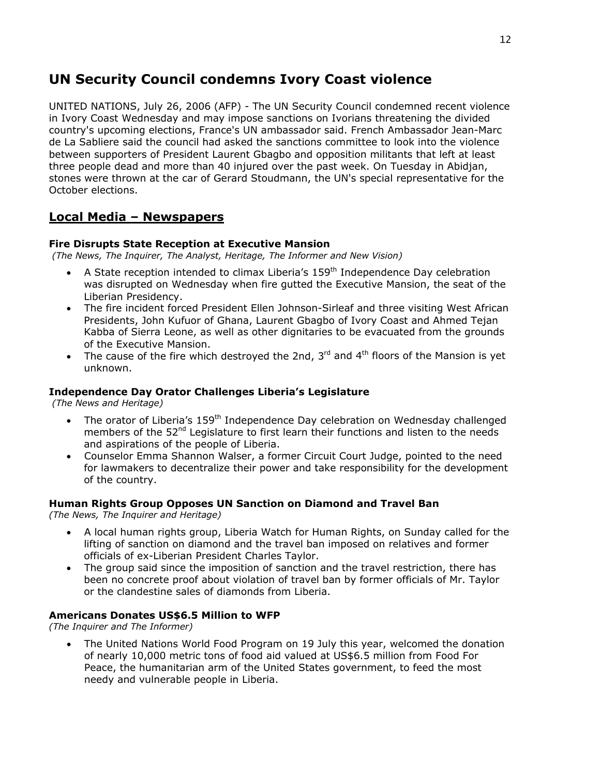## **UN Security Council condemns Ivory Coast violence**

UNITED NATIONS, July 26, 2006 (AFP) - The UN Security Council condemned recent violence in Ivory Coast Wednesday and may impose sanctions on Ivorians threatening the divided country's upcoming elections, France's UN ambassador said. French Ambassador Jean-Marc de La Sabliere said the council had asked the sanctions committee to look into the violence between supporters of President Laurent Gbagbo and opposition militants that left at least three people dead and more than 40 injured over the past week. On Tuesday in Abidjan, stones were thrown at the car of Gerard Stoudmann, the UN's special representative for the October elections.

## **Local Media – Newspapers**

#### **Fire Disrupts State Reception at Executive Mansion**

 *(The News, The Inquirer, The Analyst, Heritage, The Informer and New Vision)*

- A State reception intended to climax Liberia's 159<sup>th</sup> Independence Day celebration was disrupted on Wednesday when fire gutted the Executive Mansion, the seat of the Liberian Presidency.
- The fire incident forced President Ellen Johnson-Sirleaf and three visiting West African Presidents, John Kufuor of Ghana, Laurent Gbagbo of Ivory Coast and Ahmed Tejan Kabba of Sierra Leone, as well as other dignitaries to be evacuated from the grounds of the Executive Mansion.
- The cause of the fire which destroyed the 2nd,  $3^{rd}$  and  $4^{th}$  floors of the Mansion is yet unknown.

#### **Independence Day Orator Challenges Liberia's Legislature**

 *(The News and Heritage)*

- The orator of Liberia's 159<sup>th</sup> Independence Day celebration on Wednesday challenged members of the 52<sup>nd</sup> Legislature to first learn their functions and listen to the needs and aspirations of the people of Liberia.
- Counselor Emma Shannon Walser, a former Circuit Court Judge, pointed to the need for lawmakers to decentralize their power and take responsibility for the development of the country.

#### **Human Rights Group Opposes UN Sanction on Diamond and Travel Ban**

*(The News, The Inquirer and Heritage)*

- A local human rights group, Liberia Watch for Human Rights, on Sunday called for the lifting of sanction on diamond and the travel ban imposed on relatives and former officials of ex-Liberian President Charles Taylor.
- The group said since the imposition of sanction and the travel restriction, there has been no concrete proof about violation of travel ban by former officials of Mr. Taylor or the clandestine sales of diamonds from Liberia.

#### **Americans Donates US\$6.5 Million to WFP**

*(The Inquirer and The Informer)* 

• The United Nations World Food Program on 19 July this year, welcomed the donation of nearly 10,000 metric tons of food aid valued at US\$6.5 million from Food For Peace, the humanitarian arm of the United States government, to feed the most needy and vulnerable people in Liberia.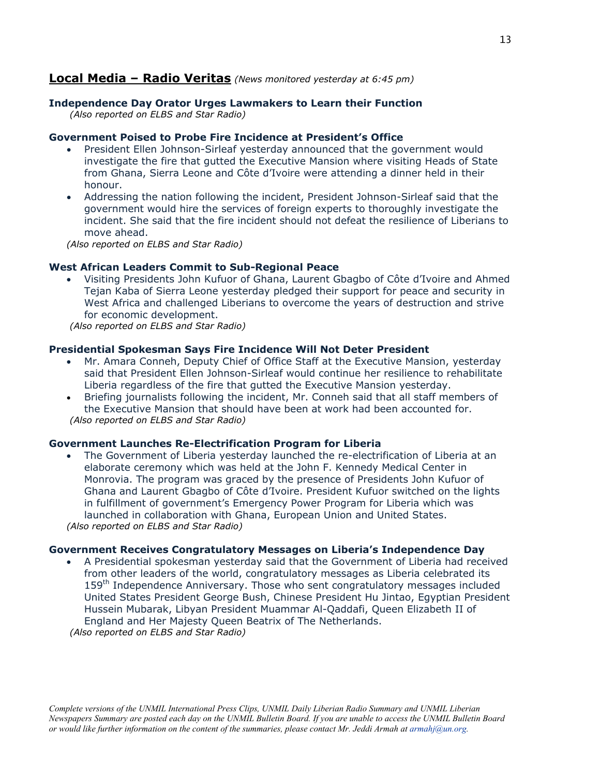## **Local Media – Radio Veritas** *(News monitored yesterday at 6:45 pm)*

## **Independence Day Orator Urges Lawmakers to Learn their Function**

 *(Also reported on ELBS and Star Radio)* 

#### **Government Poised to Probe Fire Incidence at President's Office**

- President Ellen Johnson-Sirleaf yesterday announced that the government would investigate the fire that gutted the Executive Mansion where visiting Heads of State from Ghana, Sierra Leone and Côte d'Ivoire were attending a dinner held in their honour.
- Addressing the nation following the incident, President Johnson-Sirleaf said that the government would hire the services of foreign experts to thoroughly investigate the incident. She said that the fire incident should not defeat the resilience of Liberians to move ahead.

*(Also reported on ELBS and Star Radio)* 

#### **West African Leaders Commit to Sub-Regional Peace**

• Visiting Presidents John Kufuor of Ghana, Laurent Gbagbo of Côte d'Ivoire and Ahmed Tejan Kaba of Sierra Leone yesterday pledged their support for peace and security in West Africa and challenged Liberians to overcome the years of destruction and strive for economic development.

 *(Also reported on ELBS and Star Radio)* 

#### **Presidential Spokesman Says Fire Incidence Will Not Deter President**

- Mr. Amara Conneh, Deputy Chief of Office Staff at the Executive Mansion, yesterday said that President Ellen Johnson-Sirleaf would continue her resilience to rehabilitate Liberia regardless of the fire that gutted the Executive Mansion yesterday.
- Briefing journalists following the incident, Mr. Conneh said that all staff members of the Executive Mansion that should have been at work had been accounted for.  *(Also reported on ELBS and Star Radio)*

#### **Government Launches Re-Electrification Program for Liberia**

• The Government of Liberia yesterday launched the re-electrification of Liberia at an elaborate ceremony which was held at the John F. Kennedy Medical Center in Monrovia. The program was graced by the presence of Presidents John Kufuor of Ghana and Laurent Gbagbo of Côte d'Ivoire. President Kufuor switched on the lights in fulfillment of government's Emergency Power Program for Liberia which was launched in collaboration with Ghana, European Union and United States. *(Also reported on ELBS and Star Radio)* 

#### **Government Receives Congratulatory Messages on Liberia's Independence Day**

• A Presidential spokesman yesterday said that the Government of Liberia had received from other leaders of the world, congratulatory messages as Liberia celebrated its 159<sup>th</sup> Independence Anniversary. Those who sent congratulatory messages included United States President George Bush, Chinese President Hu Jintao, Egyptian President Hussein Mubarak, Libyan President Muammar Al-Qaddafi, Queen Elizabeth II of England and Her Majesty Queen Beatrix of The Netherlands.

 *(Also reported on ELBS and Star Radio)*